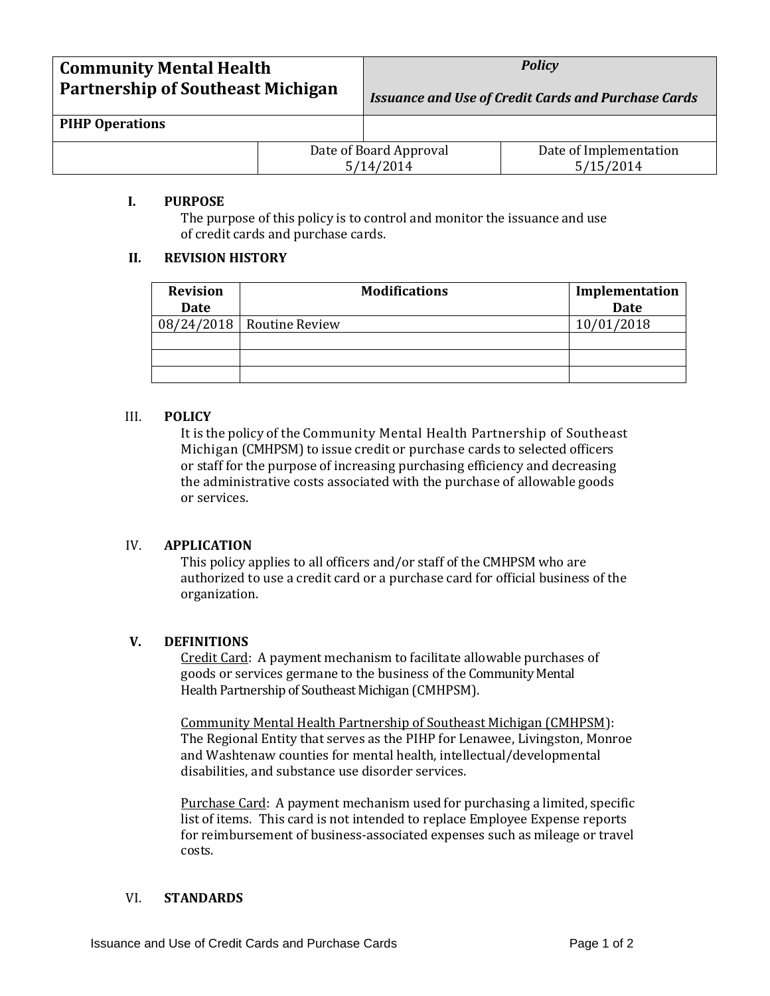| <b>Community Mental Health</b>           |  | <b>Policy</b>                                              |                                     |
|------------------------------------------|--|------------------------------------------------------------|-------------------------------------|
| <b>Partnership of Southeast Michigan</b> |  | <b>Issuance and Use of Credit Cards and Purchase Cards</b> |                                     |
| <b>PIHP Operations</b>                   |  |                                                            |                                     |
|                                          |  | Date of Board Approval<br>5/14/2014                        | Date of Implementation<br>5/15/2014 |

## **I. PURPOSE**

The purpose of this policy is to control and monitor the issuance and use of credit cards and purchase cards.

# **II. REVISION HISTORY**

| <b>Revision</b><br>Date | <b>Modifications</b>        | Implementation<br><b>Date</b> |
|-------------------------|-----------------------------|-------------------------------|
|                         | $08/24/2018$ Routine Review | 10/01/2018                    |
|                         |                             |                               |
|                         |                             |                               |
|                         |                             |                               |

# III. **POLICY**

It is the policy of the Community Mental Health Partnership of Southeast Michigan (CMHPSM) to issue credit or purchase cards to selected officers or staff for the purpose of increasing purchasing efficiency and decreasing the administrative costs associated with the purchase of allowable goods or services.

# IV. **APPLICATION**

This policy applies to all officers and/or staff of the CMHPSM who are authorized to use a credit card or a purchase card for official business of the organization.

# **V. DEFINITIONS**

Credit Card: A payment mechanism to facilitate allowable purchases of goods or services germane to the business of the Community Mental Health Partnership of Southeast Michigan (CMHPSM).

Community Mental Health Partnership of Southeast Michigan (CMHPSM): The Regional Entity that serves as the PIHP for Lenawee, Livingston, Monroe and Washtenaw counties for mental health, intellectual/developmental disabilities, and substance use disorder services.

Purchase Card: A payment mechanism used for purchasing a limited, specific list of items. This card is not intended to replace Employee Expense reports for reimbursement of business-associated expenses such as mileage or travel costs.

# VI. **STANDARDS**